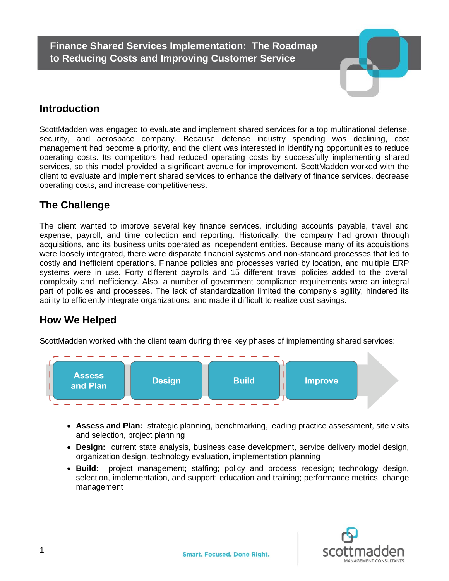**Finance Shared Services Implementation: The Roadmap to Reducing Costs and Improving Customer Service**



## **Introduction**

ScottMadden was engaged to evaluate and implement shared services for a top multinational [defense,](http://en.wikipedia.org/wiki/Defence_contractor) [security,](http://en.wikipedia.org/wiki/Information_security) and [aerospace](http://en.wikipedia.org/wiki/Aerospace) company. Because defense industry spending was declining, cost management had become a priority, and the client was interested in identifying opportunities to reduce operating costs. Its competitors had reduced operating costs by successfully implementing shared services, so this model provided a significant avenue for improvement. ScottMadden worked with the client to evaluate and implement shared services to enhance the delivery of finance services, decrease operating costs, and increase competitiveness.

# **The Challenge**

The client wanted to improve several key finance services, including accounts payable, travel and expense, payroll, and time collection and reporting. Historically, the company had grown through acquisitions, and its business units operated as independent entities. Because many of its acquisitions were loosely integrated, there were disparate financial systems and non-standard processes that led to costly and inefficient operations. Finance policies and processes varied by location, and multiple ERP systems were in use. Forty different payrolls and 15 different travel policies added to the overall complexity and inefficiency. Also, a number of government compliance requirements were an integral part of policies and processes. The lack of standardization limited the company's agility, hindered its ability to efficiently integrate organizations, and made it difficult to realize cost savings.

# **How We Helped**

ScottMadden worked with the client team during three key phases of implementing shared services:



- **Assess and Plan:** strategic planning, benchmarking, leading practice assessment, site visits and selection, project planning
- **Design:** current state analysis, business case development, service delivery model design, organization design, technology evaluation, implementation planning
- **Build:** project management; staffing; policy and process redesign; technology design, selection, implementation, and support; education and training; performance metrics, change management

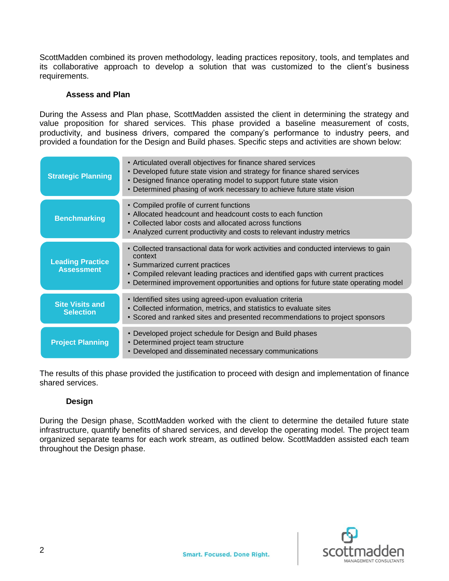ScottMadden combined its proven methodology, leading practices repository, tools, and templates and its collaborative approach to develop a solution that was customized to the client's business requirements.

#### **Assess and Plan**

During the Assess and Plan phase, ScottMadden assisted the client in determining the strategy and value proposition for shared services. This phase provided a baseline measurement of costs, productivity, and business drivers, compared the company's performance to industry peers, and provided a foundation for the Design and Build phases. Specific steps and activities are shown below:

| <b>Strategic Planning</b>                    | • Articulated overall objectives for finance shared services<br>• Developed future state vision and strategy for finance shared services<br>• Designed finance operating model to support future state vision<br>• Determined phasing of work necessary to achieve future state vision                      |
|----------------------------------------------|-------------------------------------------------------------------------------------------------------------------------------------------------------------------------------------------------------------------------------------------------------------------------------------------------------------|
| <b>Benchmarking</b>                          | • Compiled profile of current functions<br>• Allocated headcount and headcount costs to each function<br>• Collected labor costs and allocated across functions<br>• Analyzed current productivity and costs to relevant industry metrics                                                                   |
| <b>Leading Practice</b><br><b>Assessment</b> | • Collected transactional data for work activities and conducted interviews to gain<br>context<br>• Summarized current practices<br>• Compiled relevant leading practices and identified gaps with current practices<br>• Determined improvement opportunities and options for future state operating model |
| <b>Site Visits and</b><br><b>Selection</b>   | • Identified sites using agreed-upon evaluation criteria<br>• Collected information, metrics, and statistics to evaluate sites<br>• Scored and ranked sites and presented recommendations to project sponsors                                                                                               |
| <b>Project Planning</b>                      | • Developed project schedule for Design and Build phases<br>• Determined project team structure<br>• Developed and disseminated necessary communications                                                                                                                                                    |

The results of this phase provided the justification to proceed with design and implementation of finance shared services.

### **Design**

During the Design phase, ScottMadden worked with the client to determine the detailed future state infrastructure, quantify benefits of shared services, and develop the operating model. The project team organized separate teams for each work stream, as outlined below. ScottMadden assisted each team throughout the Design phase.

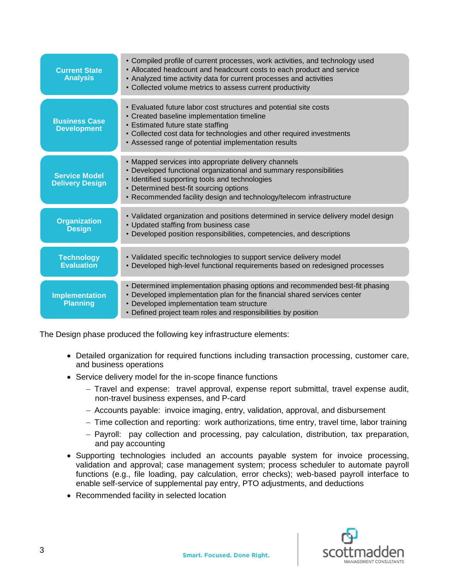| <b>Current State</b><br><b>Analysis</b>        | • Compiled profile of current processes, work activities, and technology used<br>• Allocated headcount and headcount costs to each product and service<br>• Analyzed time activity data for current processes and activities<br>• Collected volume metrics to assess current productivity     |
|------------------------------------------------|-----------------------------------------------------------------------------------------------------------------------------------------------------------------------------------------------------------------------------------------------------------------------------------------------|
| <b>Business Case</b><br><b>Development</b>     | • Evaluated future labor cost structures and potential site costs<br>• Created baseline implementation timeline<br>• Estimated future state staffing<br>• Collected cost data for technologies and other required investments<br>• Assessed range of potential implementation results         |
| <b>Service Model</b><br><b>Delivery Design</b> | • Mapped services into appropriate delivery channels<br>• Developed functional organizational and summary responsibilities<br>• Identified supporting tools and technologies<br>• Determined best-fit sourcing options<br>• Recommended facility design and technology/telecom infrastructure |
| <b>Organization</b><br><b>Design</b>           | · Validated organization and positions determined in service delivery model design<br>• Updated staffing from business case<br>• Developed position responsibilities, competencies, and descriptions                                                                                          |
| <b>Technology</b><br><b>Evaluation</b>         | • Validated specific technologies to support service delivery model<br>• Developed high-level functional requirements based on redesigned processes                                                                                                                                           |
| <b>Implementation</b><br><b>Planning</b>       | • Determined implementation phasing options and recommended best-fit phasing<br>• Developed implementation plan for the financial shared services center<br>• Developed implementation team structure<br>• Defined project team roles and responsibilities by position                        |

The Design phase produced the following key infrastructure elements:

- Detailed organization for required functions including transaction processing, customer care, and business operations
- Service delivery model for the in-scope finance functions
	- $-$  Travel and expense: travel approval, expense report submittal, travel expense audit, non-travel business expenses, and P-card
	- Accounts payable: invoice imaging, entry, validation, approval, and disbursement
	- Time collection and reporting: work authorizations, time entry, travel time, labor training
	- Payroll: pay collection and processing, pay calculation, distribution, tax preparation, and pay accounting
- Supporting technologies included an accounts payable system for invoice processing, validation and approval; case management system; process scheduler to automate payroll functions (e.g., file loading, pay calculation, error checks); web-based payroll interface to enable self-service of supplemental pay entry, PTO adjustments, and deductions
- Recommended facility in selected location

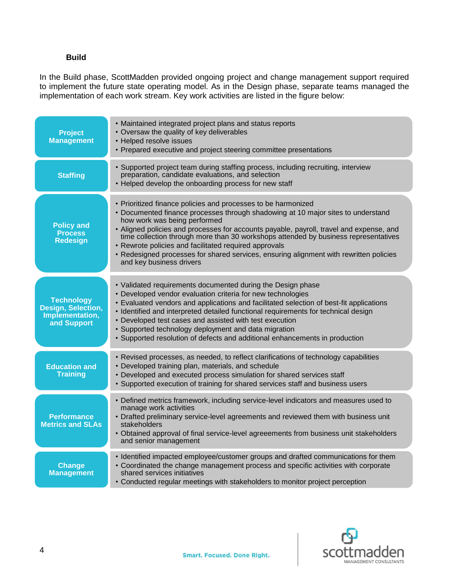### **Build**

In the Build phase, ScottMadden provided ongoing project and change management support required to implement the future state operating model. As in the Design phase, separate teams managed the implementation of each work stream. Key work activities are listed in the figure below:

| <b>Project</b><br><b>Management</b>                                       | • Maintained integrated project plans and status reports<br>• Oversaw the quality of key deliverables<br>• Helped resolve issues<br>• Prepared executive and project steering committee presentations                                                                                                                                                                                                                                                                                                                                              |
|---------------------------------------------------------------------------|----------------------------------------------------------------------------------------------------------------------------------------------------------------------------------------------------------------------------------------------------------------------------------------------------------------------------------------------------------------------------------------------------------------------------------------------------------------------------------------------------------------------------------------------------|
| <b>Staffing</b>                                                           | • Supported project team during staffing process, including recruiting, interview<br>preparation, candidate evaluations, and selection<br>• Helped develop the onboarding process for new staff                                                                                                                                                                                                                                                                                                                                                    |
| <b>Policy and</b><br><b>Process</b><br><b>Redesign</b>                    | • Prioritized finance policies and processes to be harmonized<br>• Documented finance processes through shadowing at 10 major sites to understand<br>how work was being performed<br>• Aligned policies and processes for accounts payable, payroll, travel and expense, and<br>time collection through more than 30 workshops attended by business representatives<br>• Rewrote policies and facilitated required approvals<br>• Redesigned processes for shared services, ensuring alignment with rewritten policies<br>and key business drivers |
| <b>Technology</b><br>Design, Selection,<br>Implementation,<br>and Support | • Validated requirements documented during the Design phase<br>• Developed vendor evaluation criteria for new technologies<br>• Evaluated vendors and applications and facilitated selection of best-fit applications<br>· Identified and interpreted detailed functional requirements for technical design<br>• Developed test cases and assisted with test execution<br>• Supported technology deployment and data migration<br>• Supported resolution of defects and additional enhancements in production                                      |
| <b>Education and</b><br><b>Training</b>                                   | • Revised processes, as needed, to reflect clarifications of technology capabilities<br>• Developed training plan, materials, and schedule<br>• Developed and executed process simulation for shared services staff<br>• Supported execution of training for shared services staff and business users                                                                                                                                                                                                                                              |
| <b>Performance</b><br><b>Metrics and SLAs</b>                             | • Defined metrics framework, including service-level indicators and measures used to<br>manage work activities<br>• Drafted preliminary service-level agreements and reviewed them with business unit<br>stakeholders<br>• Obtained approval of final service-level agreeements from business unit stakeholders<br>and senior management                                                                                                                                                                                                           |
| <b>Change</b><br><b>Management</b>                                        | • Identified impacted employee/customer groups and drafted communications for them<br>• Coordinated the change management process and specific activities with corporate<br>shared services initiatives<br>• Conducted regular meetings with stakeholders to monitor project perception                                                                                                                                                                                                                                                            |